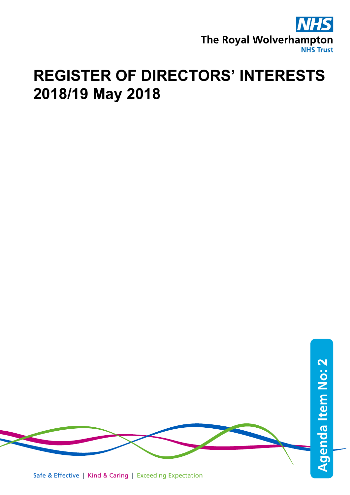

## **REGISTER OF DIRECTORS' INTERESTS 2018/19 May 2018**



Safe & Effective | Kind & Caring | Exceeding Expectation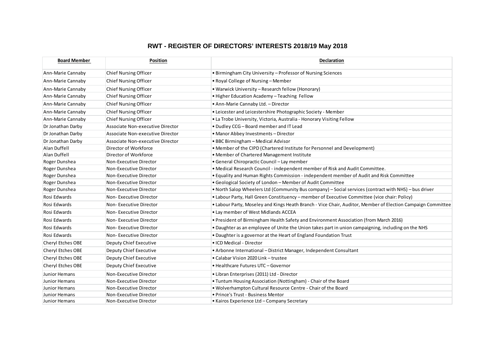## **RWT - REGISTER OF DIRECTORS' INTERESTS 2018/19 May 2018**

| <b>Board Member</b> | <b>Position</b>                  | Declaration                                                                                                 |
|---------------------|----------------------------------|-------------------------------------------------------------------------------------------------------------|
| Ann-Marie Cannaby   | <b>Chief Nursing Officer</b>     | • Birmingham City University - Professor of Nursing Sciences                                                |
| Ann-Marie Cannaby   | Chief Nursing Officer            | • Royal College of Nursing – Member                                                                         |
| Ann-Marie Cannaby   | <b>Chief Nursing Officer</b>     | • Warwick University – Research fellow (Honorary)                                                           |
| Ann-Marie Cannaby   | Chief Nursing Officer            | • Higher Education Academy - Teaching Fellow                                                                |
| Ann-Marie Cannaby   | Chief Nursing Officer            | • Ann-Marie Cannaby Ltd. - Director                                                                         |
| Ann-Marie Cannaby   | <b>Chief Nursing Officer</b>     | • Leicester and Leicestershire Photographic Society - Member                                                |
| Ann-Marie Cannaby   | <b>Chief Nursing Officer</b>     | . La Trobe University, Victoria, Australia - Honorary Visiting Fellow                                       |
| Dr Jonathan Darby   | Associate Non-executive Director | • Dudley CCG - Board member and IT Lead                                                                     |
| Dr Jonathan Darby   | Associate Non-executive Director | • Manor Abbey Investments - Director                                                                        |
| Dr Jonathan Darby   | Associate Non-executive Director | • BBC Birmingham - Medical Advisor                                                                          |
| Alan Duffell        | Director of Workforce            | . Member of the CIPD (Chartered Institute for Personnel and Development)                                    |
| Alan Duffell        | Director of Workforce            | • Member of Chartered Management Institute                                                                  |
| Roger Dunshea       | Non-Executive Director           | • General Chiropractic Council - Lay member                                                                 |
| Roger Dunshea       | Non-Executive Director           | . Medical Research Council - independent member of Risk and Audit Committee.                                |
| Roger Dunshea       | Non-Executive Director           | . Equality and Human Rights Commission - independent member of Audit and Risk Committee                     |
| Roger Dunshea       | Non-Executive Director           | • Geological Society of London – Member of Audit Committee                                                  |
| Roger Dunshea       | Non-Executive Director           | • North Salop Wheelers Ltd (Community Bus company) – Social services (contract with NHS) – bus driver       |
| Rosi Edwards        | Non-Executive Director           | • Labour Party, Hall Green Constituency - member of Executive Committee (vice chair: Policy)                |
| Rosi Edwards        | Non-Executive Director           | . Labour Party, Moseley and Kings Heath Branch - Vice Chair, Auditor, Member of Election Campaign Committee |
| Rosi Edwards        | Non-Executive Director           | • Lay member of West Midlands ACCEA                                                                         |
| Rosi Edwards        | Non-Executive Director           | . President of Birmingham Health Safety and Environment Association (from March 2016)                       |
| Rosi Edwards        | Non-Executive Director           | . Daughter as an employee of Unite the Union takes part in union campaigning, including on the NHS          |
| Rosi Edwards        | Non-Executive Director           | . Daughter is a governor at the Heart of England Foundation Trust                                           |
| Cheryl Etches OBE   | Deputy Chief Executive           | • ICD Medical - Director                                                                                    |
| Cheryl Etches OBE   | Deputy Chief Executive           | • Arbonne International – District Manager, Independent Consultant                                          |
| Cheryl Etches OBE   | Deputy Chief Executive           | • Calabar Vision 2020 Link - trustee                                                                        |
| Cheryl Etches OBE   | Deputy Chief Executive           | • Healthcare Futures UTC - Governor                                                                         |
| Junior Hemans       | Non-Executive Director           | · Libran Enterprises (2011) Ltd - Director                                                                  |
| Junior Hemans       | Non-Executive Director           | • Tuntum Housing Association (Nottingham) - Chair of the Board                                              |
| Junior Hemans       | Non-Executive Director           | . Wolverhampton Cultural Resource Centre - Chair of the Board                                               |
| Junior Hemans       | Non-Executive Director           | · Prince's Trust - Business Mentor                                                                          |
| Junior Hemans       | Non-Executive Director           | • Kairos Experience Ltd - Company Secretary                                                                 |